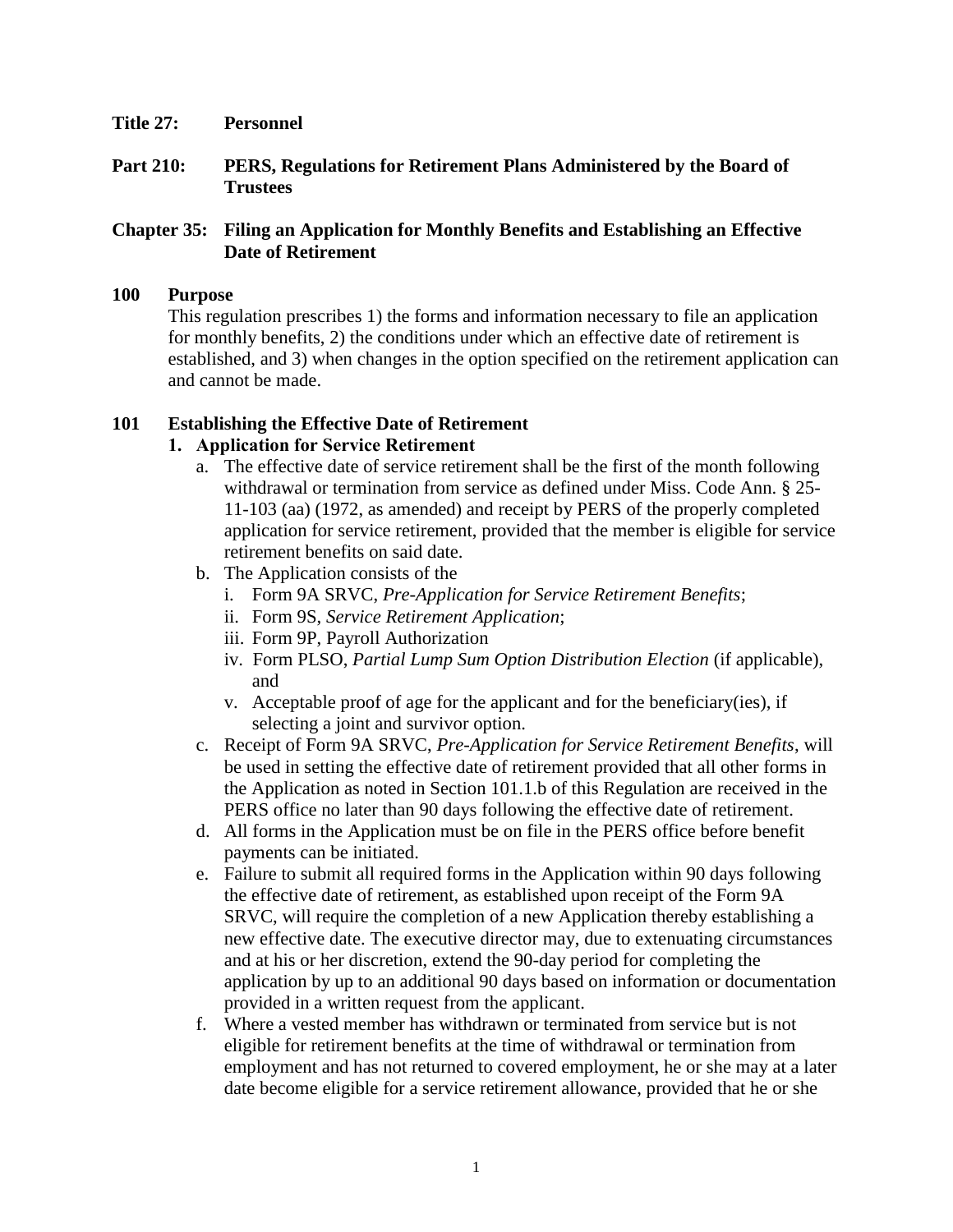- **Title 27: Personnel**
- **Part 210: PERS, Regulations for Retirement Plans Administered by the Board of Trustees**

#### **Chapter 35: Filing an Application for Monthly Benefits and Establishing an Effective Date of Retirement**

#### **100 Purpose**

This regulation prescribes 1) the forms and information necessary to file an application for monthly benefits, 2) the conditions under which an effective date of retirement is established, and 3) when changes in the option specified on the retirement application can and cannot be made.

#### **101 Establishing the Effective Date of Retirement**

#### **1. Application for Service Retirement**

- a. The effective date of service retirement shall be the first of the month following withdrawal or termination from service as defined under Miss. Code Ann. § 25- 11-103 (aa) (1972, as amended) and receipt by PERS of the properly completed application for service retirement, provided that the member is eligible for service retirement benefits on said date.
- b. The Application consists of the
	- i. Form 9A SRVC, *Pre-Application for Service Retirement Benefits*;
	- ii. Form 9S, *Service Retirement Application*;
	- iii. Form 9P, Payroll Authorization
	- iv. Form PLSO, *Partial Lump Sum Option Distribution Election* (if applicable), and
	- v. Acceptable proof of age for the applicant and for the beneficiary(ies), if selecting a joint and survivor option.
- c. Receipt of Form 9A SRVC, *Pre-Application for Service Retirement Benefits*, will be used in setting the effective date of retirement provided that all other forms in the Application as noted in Section 101.1.b of this Regulation are received in the PERS office no later than 90 days following the effective date of retirement.
- d. All forms in the Application must be on file in the PERS office before benefit payments can be initiated.
- e. Failure to submit all required forms in the Application within 90 days following the effective date of retirement, as established upon receipt of the Form 9A SRVC, will require the completion of a new Application thereby establishing a new effective date. The executive director may, due to extenuating circumstances and at his or her discretion, extend the 90-day period for completing the application by up to an additional 90 days based on information or documentation provided in a written request from the applicant.
- f. Where a vested member has withdrawn or terminated from service but is not eligible for retirement benefits at the time of withdrawal or termination from employment and has not returned to covered employment, he or she may at a later date become eligible for a service retirement allowance, provided that he or she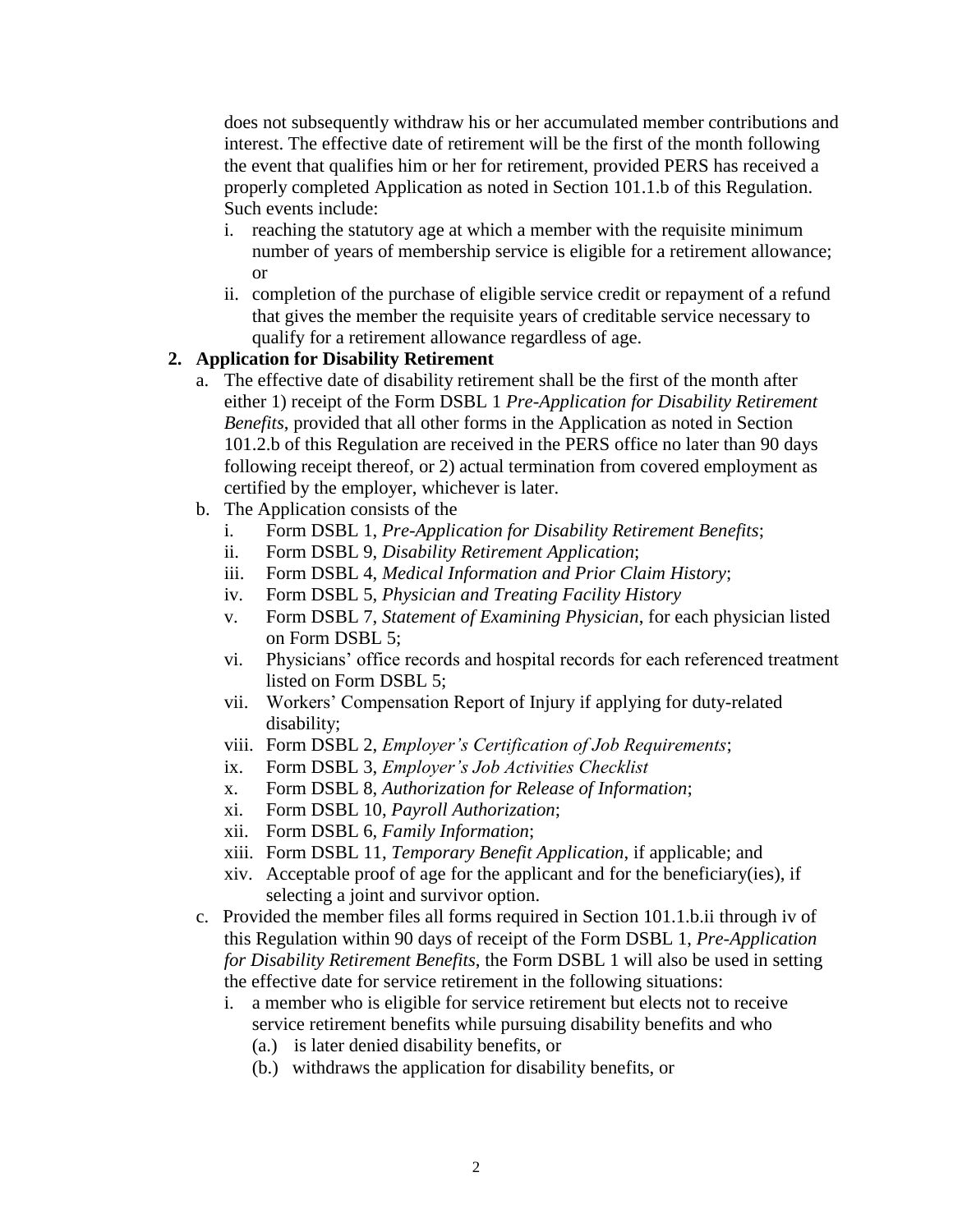does not subsequently withdraw his or her accumulated member contributions and interest. The effective date of retirement will be the first of the month following the event that qualifies him or her for retirement, provided PERS has received a properly completed Application as noted in Section 101.1.b of this Regulation. Such events include:

- i. reaching the statutory age at which a member with the requisite minimum number of years of membership service is eligible for a retirement allowance; or
- ii. completion of the purchase of eligible service credit or repayment of a refund that gives the member the requisite years of creditable service necessary to qualify for a retirement allowance regardless of age.

#### **2. Application for Disability Retirement**

- a. The effective date of disability retirement shall be the first of the month after either 1) receipt of the Form DSBL 1 *Pre-Application for Disability Retirement Benefits*, provided that all other forms in the Application as noted in Section 101.2.b of this Regulation are received in the PERS office no later than 90 days following receipt thereof, or 2) actual termination from covered employment as certified by the employer, whichever is later.
- b. The Application consists of the
	- i. Form DSBL 1, *Pre-Application for Disability Retirement Benefits*;
	- ii. Form DSBL 9, *Disability Retirement Application*;
	- iii. Form DSBL 4, *Medical Information and Prior Claim History*;
	- iv. Form DSBL 5, *Physician and Treating Facility History*
	- v. Form DSBL 7, *Statement of Examining Physician*, for each physician listed on Form DSBL 5;
	- vi. Physicians' office records and hospital records for each referenced treatment listed on Form DSBL 5;
	- vii. Workers' Compensation Report of Injury if applying for duty-related disability;
	- viii. Form DSBL 2, *Employer's Certification of Job Requirements*;
	- ix. Form DSBL 3, *Employer's Job Activities Checklist*
	- x. Form DSBL 8, *Authorization for Release of Information*;
	- xi. Form DSBL 10, *Payroll Authorization*;
	- xii. Form DSBL 6, *Family Information*;
	- xiii. Form DSBL 11, *Temporary Benefit Application*, if applicable; and
	- xiv. Acceptable proof of age for the applicant and for the beneficiary(ies), if selecting a joint and survivor option.
- c. Provided the member files all forms required in Section 101.1.b.ii through iv of this Regulation within 90 days of receipt of the Form DSBL 1, *Pre-Application for Disability Retirement Benefits*, the Form DSBL 1 will also be used in setting the effective date for service retirement in the following situations:
	- i. a member who is eligible for service retirement but elects not to receive service retirement benefits while pursuing disability benefits and who
		- (a.) is later denied disability benefits, or
		- (b.) withdraws the application for disability benefits, or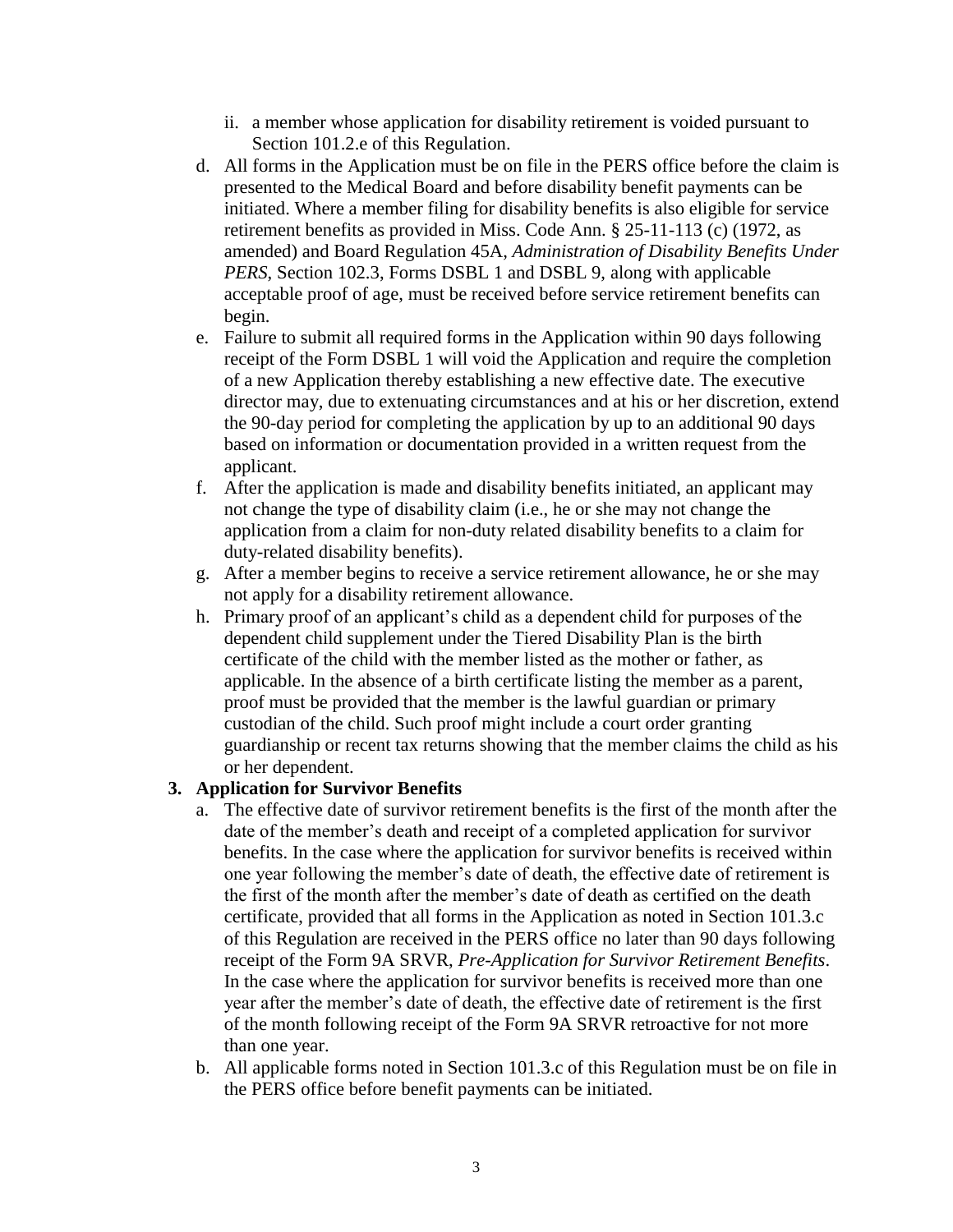- ii. a member whose application for disability retirement is voided pursuant to Section 101.2.e of this Regulation.
- d. All forms in the Application must be on file in the PERS office before the claim is presented to the Medical Board and before disability benefit payments can be initiated. Where a member filing for disability benefits is also eligible for service retirement benefits as provided in Miss. Code Ann. § 25-11-113 (c) (1972, as amended) and Board Regulation 45A, *Administration of Disability Benefits Under PERS*, Section 102.3, Forms DSBL 1 and DSBL 9, along with applicable acceptable proof of age, must be received before service retirement benefits can begin.
- e. Failure to submit all required forms in the Application within 90 days following receipt of the Form DSBL 1 will void the Application and require the completion of a new Application thereby establishing a new effective date. The executive director may, due to extenuating circumstances and at his or her discretion, extend the 90-day period for completing the application by up to an additional 90 days based on information or documentation provided in a written request from the applicant.
- f. After the application is made and disability benefits initiated, an applicant may not change the type of disability claim (i.e., he or she may not change the application from a claim for non-duty related disability benefits to a claim for duty-related disability benefits).
- g. After a member begins to receive a service retirement allowance, he or she may not apply for a disability retirement allowance.
- h. Primary proof of an applicant's child as a dependent child for purposes of the dependent child supplement under the Tiered Disability Plan is the birth certificate of the child with the member listed as the mother or father, as applicable. In the absence of a birth certificate listing the member as a parent, proof must be provided that the member is the lawful guardian or primary custodian of the child. Such proof might include a court order granting guardianship or recent tax returns showing that the member claims the child as his or her dependent.

## **3. Application for Survivor Benefits**

- a. The effective date of survivor retirement benefits is the first of the month after the date of the member's death and receipt of a completed application for survivor benefits. In the case where the application for survivor benefits is received within one year following the member's date of death, the effective date of retirement is the first of the month after the member's date of death as certified on the death certificate, provided that all forms in the Application as noted in Section 101.3.c of this Regulation are received in the PERS office no later than 90 days following receipt of the Form 9A SRVR, *Pre-Application for Survivor Retirement Benefits*. In the case where the application for survivor benefits is received more than one year after the member's date of death, the effective date of retirement is the first of the month following receipt of the Form 9A SRVR retroactive for not more than one year.
- b. All applicable forms noted in Section 101.3.c of this Regulation must be on file in the PERS office before benefit payments can be initiated.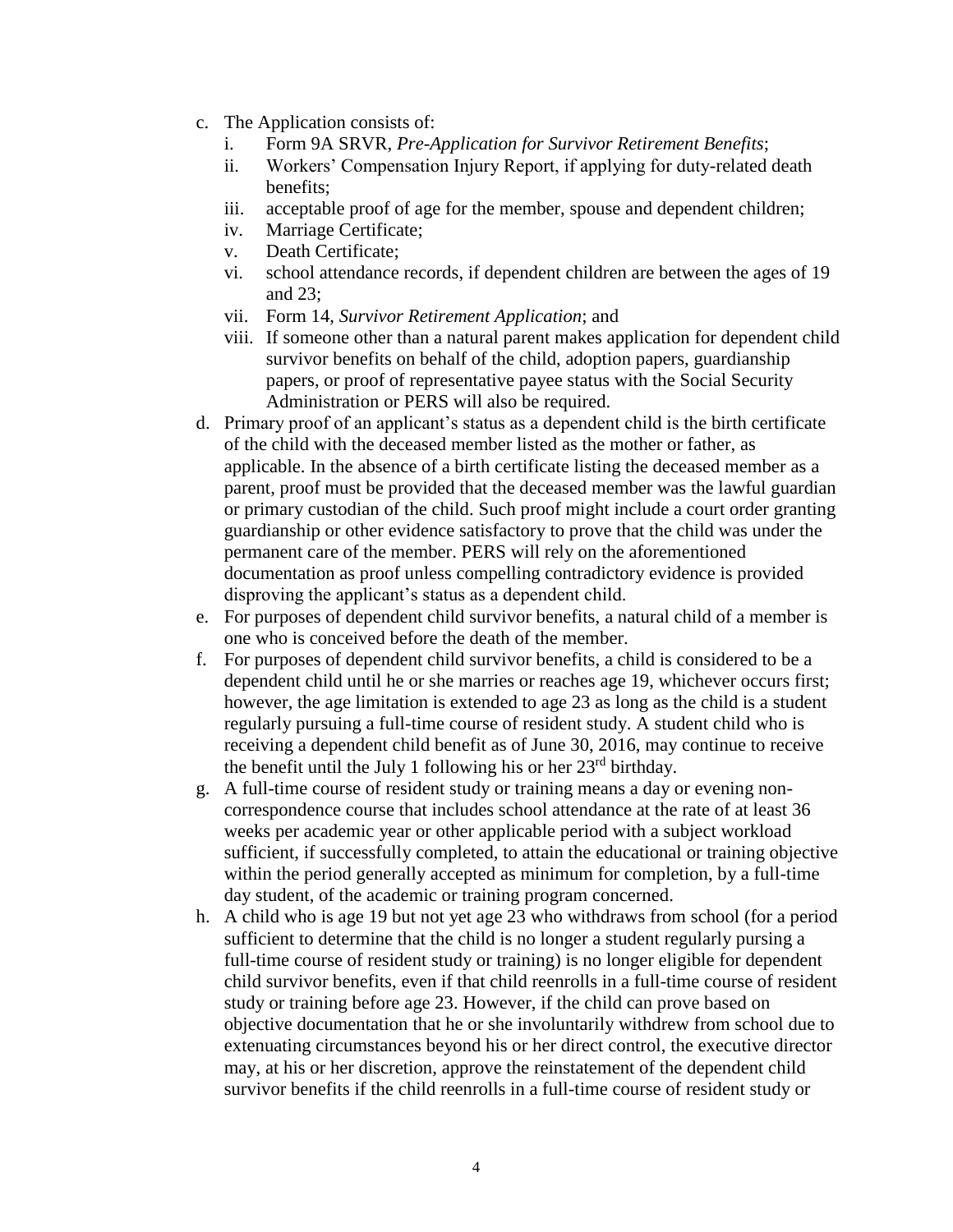- c. The Application consists of:
	- i. Form 9A SRVR, *Pre-Application for Survivor Retirement Benefits*;
	- ii. Workers' Compensation Injury Report, if applying for duty-related death benefits;
	- iii. acceptable proof of age for the member, spouse and dependent children;
	- iv. Marriage Certificate;
	- v. Death Certificate;
	- vi. school attendance records, if dependent children are between the ages of 19 and 23;
	- vii. Form 14, *Survivor Retirement Application*; and
	- viii. If someone other than a natural parent makes application for dependent child survivor benefits on behalf of the child, adoption papers, guardianship papers, or proof of representative payee status with the Social Security Administration or PERS will also be required.
- d. Primary proof of an applicant's status as a dependent child is the birth certificate of the child with the deceased member listed as the mother or father, as applicable. In the absence of a birth certificate listing the deceased member as a parent, proof must be provided that the deceased member was the lawful guardian or primary custodian of the child. Such proof might include a court order granting guardianship or other evidence satisfactory to prove that the child was under the permanent care of the member. PERS will rely on the aforementioned documentation as proof unless compelling contradictory evidence is provided disproving the applicant's status as a dependent child.
- e. For purposes of dependent child survivor benefits, a natural child of a member is one who is conceived before the death of the member.
- f. For purposes of dependent child survivor benefits, a child is considered to be a dependent child until he or she marries or reaches age 19, whichever occurs first; however, the age limitation is extended to age 23 as long as the child is a student regularly pursuing a full-time course of resident study. A student child who is receiving a dependent child benefit as of June 30, 2016, may continue to receive the benefit until the July 1 following his or her  $23<sup>rd</sup>$  birthday.
- g. A full-time course of resident study or training means a day or evening noncorrespondence course that includes school attendance at the rate of at least 36 weeks per academic year or other applicable period with a subject workload sufficient, if successfully completed, to attain the educational or training objective within the period generally accepted as minimum for completion, by a full-time day student, of the academic or training program concerned.
- h. A child who is age 19 but not yet age 23 who withdraws from school (for a period sufficient to determine that the child is no longer a student regularly pursing a full-time course of resident study or training) is no longer eligible for dependent child survivor benefits, even if that child reenrolls in a full-time course of resident study or training before age 23. However, if the child can prove based on objective documentation that he or she involuntarily withdrew from school due to extenuating circumstances beyond his or her direct control, the executive director may, at his or her discretion, approve the reinstatement of the dependent child survivor benefits if the child reenrolls in a full-time course of resident study or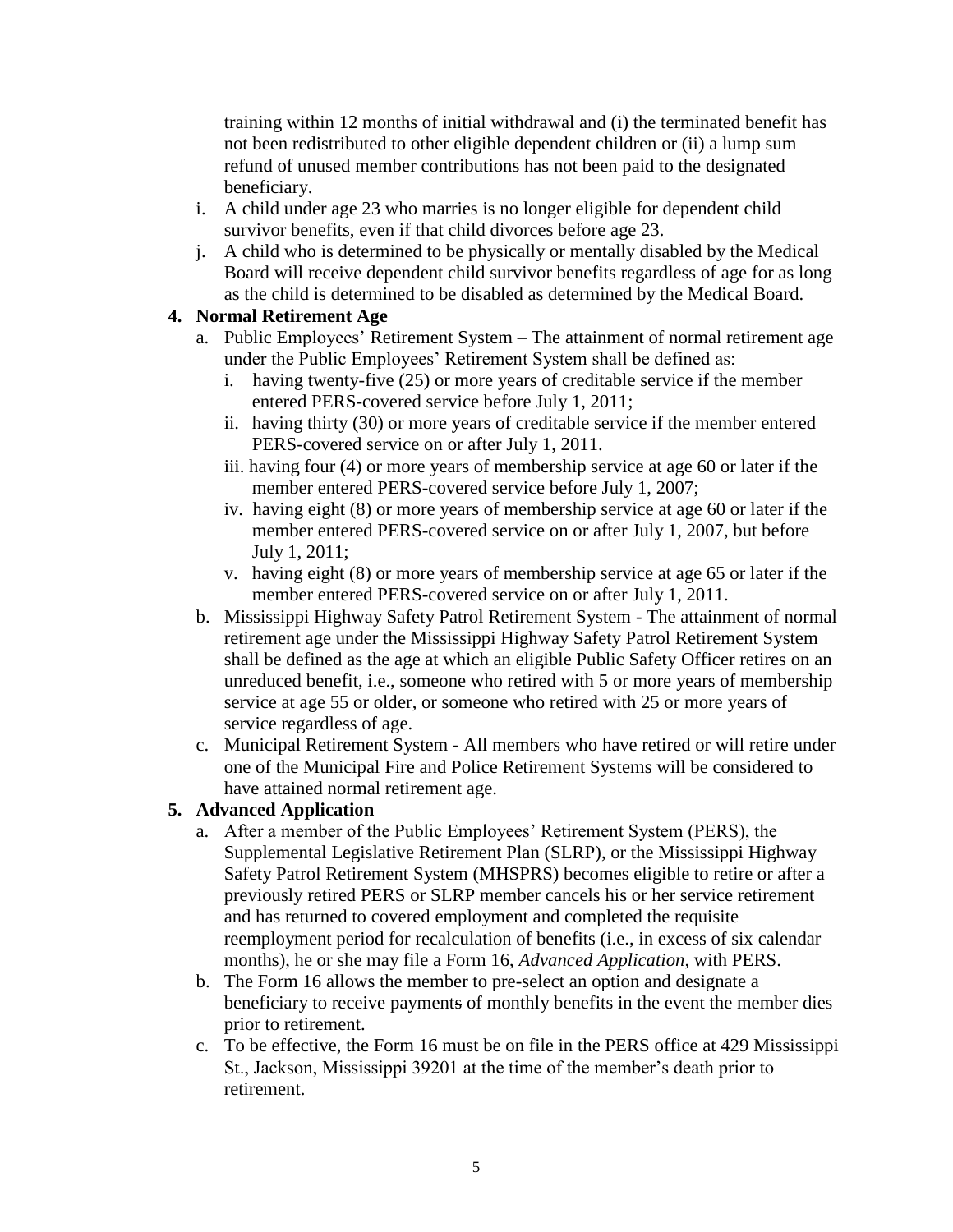training within 12 months of initial withdrawal and (i) the terminated benefit has not been redistributed to other eligible dependent children or (ii) a lump sum refund of unused member contributions has not been paid to the designated beneficiary.

- i. A child under age 23 who marries is no longer eligible for dependent child survivor benefits, even if that child divorces before age 23.
- j. A child who is determined to be physically or mentally disabled by the Medical Board will receive dependent child survivor benefits regardless of age for as long as the child is determined to be disabled as determined by the Medical Board.

# **4. Normal Retirement Age**

- a. Public Employees' Retirement System The attainment of normal retirement age under the Public Employees' Retirement System shall be defined as:
	- i. having twenty-five (25) or more years of creditable service if the member entered PERS-covered service before July 1, 2011;
	- ii. having thirty (30) or more years of creditable service if the member entered PERS-covered service on or after July 1, 2011.
	- iii. having four (4) or more years of membership service at age 60 or later if the member entered PERS-covered service before July 1, 2007;
	- iv. having eight (8) or more years of membership service at age 60 or later if the member entered PERS-covered service on or after July 1, 2007, but before July 1, 2011;
	- v. having eight (8) or more years of membership service at age 65 or later if the member entered PERS-covered service on or after July 1, 2011.
- b. Mississippi Highway Safety Patrol Retirement System The attainment of normal retirement age under the Mississippi Highway Safety Patrol Retirement System shall be defined as the age at which an eligible Public Safety Officer retires on an unreduced benefit, i.e., someone who retired with 5 or more years of membership service at age 55 or older, or someone who retired with 25 or more years of service regardless of age.
- c. Municipal Retirement System All members who have retired or will retire under one of the Municipal Fire and Police Retirement Systems will be considered to have attained normal retirement age.

## **5. Advanced Application**

- a. After a member of the Public Employees' Retirement System (PERS), the Supplemental Legislative Retirement Plan (SLRP), or the Mississippi Highway Safety Patrol Retirement System (MHSPRS) becomes eligible to retire or after a previously retired PERS or SLRP member cancels his or her service retirement and has returned to covered employment and completed the requisite reemployment period for recalculation of benefits (i.e., in excess of six calendar months), he or she may file a Form 16, *Advanced Application*, with PERS.
- b. The Form 16 allows the member to pre-select an option and designate a beneficiary to receive payments of monthly benefits in the event the member dies prior to retirement.
- c. To be effective, the Form 16 must be on file in the PERS office at 429 Mississippi St., Jackson, Mississippi 39201 at the time of the member's death prior to retirement.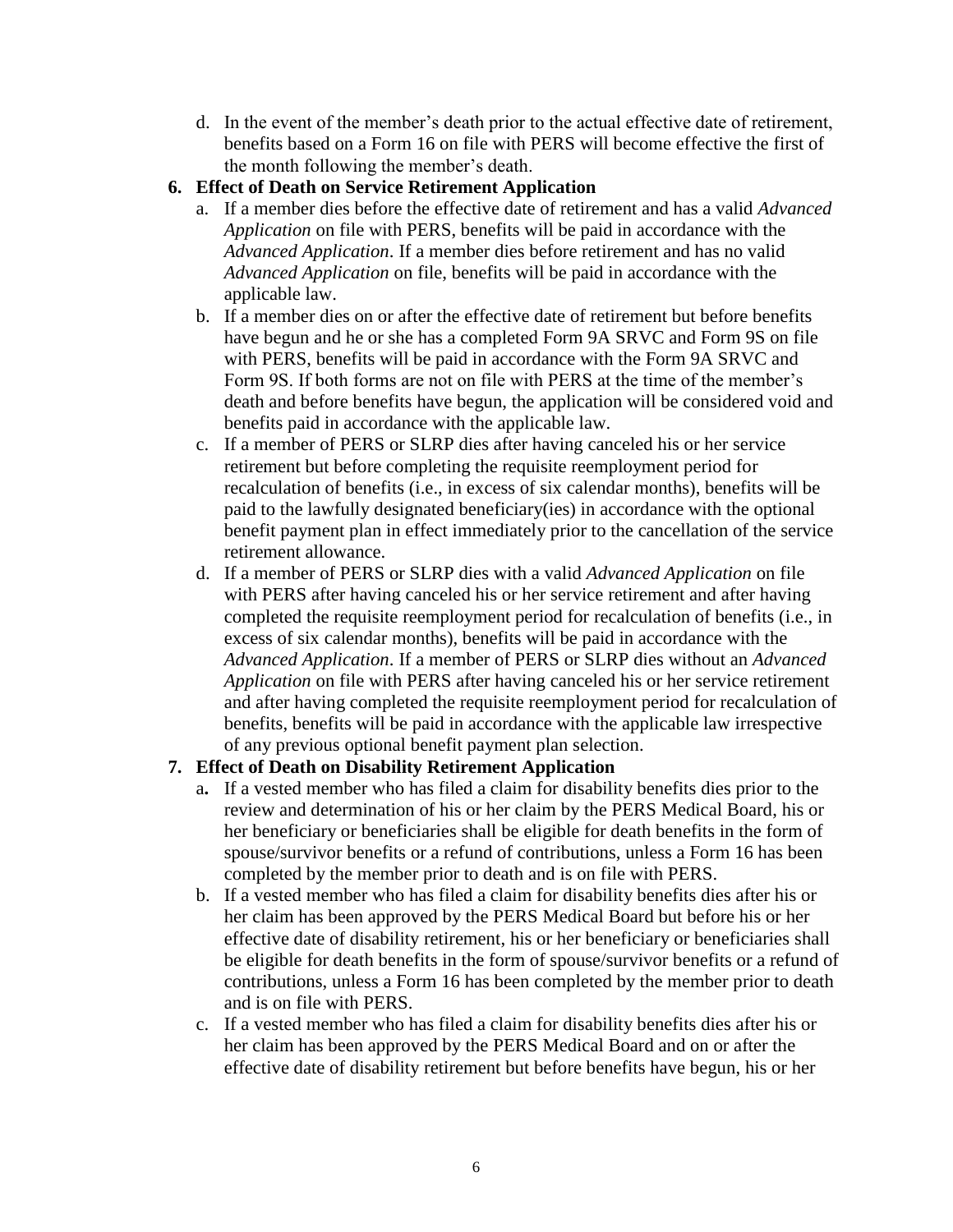d. In the event of the member's death prior to the actual effective date of retirement, benefits based on a Form 16 on file with PERS will become effective the first of the month following the member's death.

# **6. Effect of Death on Service Retirement Application**

- a. If a member dies before the effective date of retirement and has a valid *Advanced Application* on file with PERS, benefits will be paid in accordance with the *Advanced Application*. If a member dies before retirement and has no valid *Advanced Application* on file, benefits will be paid in accordance with the applicable law.
- b. If a member dies on or after the effective date of retirement but before benefits have begun and he or she has a completed Form 9A SRVC and Form 9S on file with PERS, benefits will be paid in accordance with the Form 9A SRVC and Form 9S. If both forms are not on file with PERS at the time of the member's death and before benefits have begun, the application will be considered void and benefits paid in accordance with the applicable law.
- c. If a member of PERS or SLRP dies after having canceled his or her service retirement but before completing the requisite reemployment period for recalculation of benefits (i.e., in excess of six calendar months), benefits will be paid to the lawfully designated beneficiary(ies) in accordance with the optional benefit payment plan in effect immediately prior to the cancellation of the service retirement allowance.
- d. If a member of PERS or SLRP dies with a valid *Advanced Application* on file with PERS after having canceled his or her service retirement and after having completed the requisite reemployment period for recalculation of benefits (i.e., in excess of six calendar months), benefits will be paid in accordance with the *Advanced Application*. If a member of PERS or SLRP dies without an *Advanced Application* on file with PERS after having canceled his or her service retirement and after having completed the requisite reemployment period for recalculation of benefits, benefits will be paid in accordance with the applicable law irrespective of any previous optional benefit payment plan selection.

## **7. Effect of Death on Disability Retirement Application**

- a**.** If a vested member who has filed a claim for disability benefits dies prior to the review and determination of his or her claim by the PERS Medical Board, his or her beneficiary or beneficiaries shall be eligible for death benefits in the form of spouse/survivor benefits or a refund of contributions, unless a Form 16 has been completed by the member prior to death and is on file with PERS.
- b. If a vested member who has filed a claim for disability benefits dies after his or her claim has been approved by the PERS Medical Board but before his or her effective date of disability retirement, his or her beneficiary or beneficiaries shall be eligible for death benefits in the form of spouse/survivor benefits or a refund of contributions, unless a Form 16 has been completed by the member prior to death and is on file with PERS.
- c. If a vested member who has filed a claim for disability benefits dies after his or her claim has been approved by the PERS Medical Board and on or after the effective date of disability retirement but before benefits have begun, his or her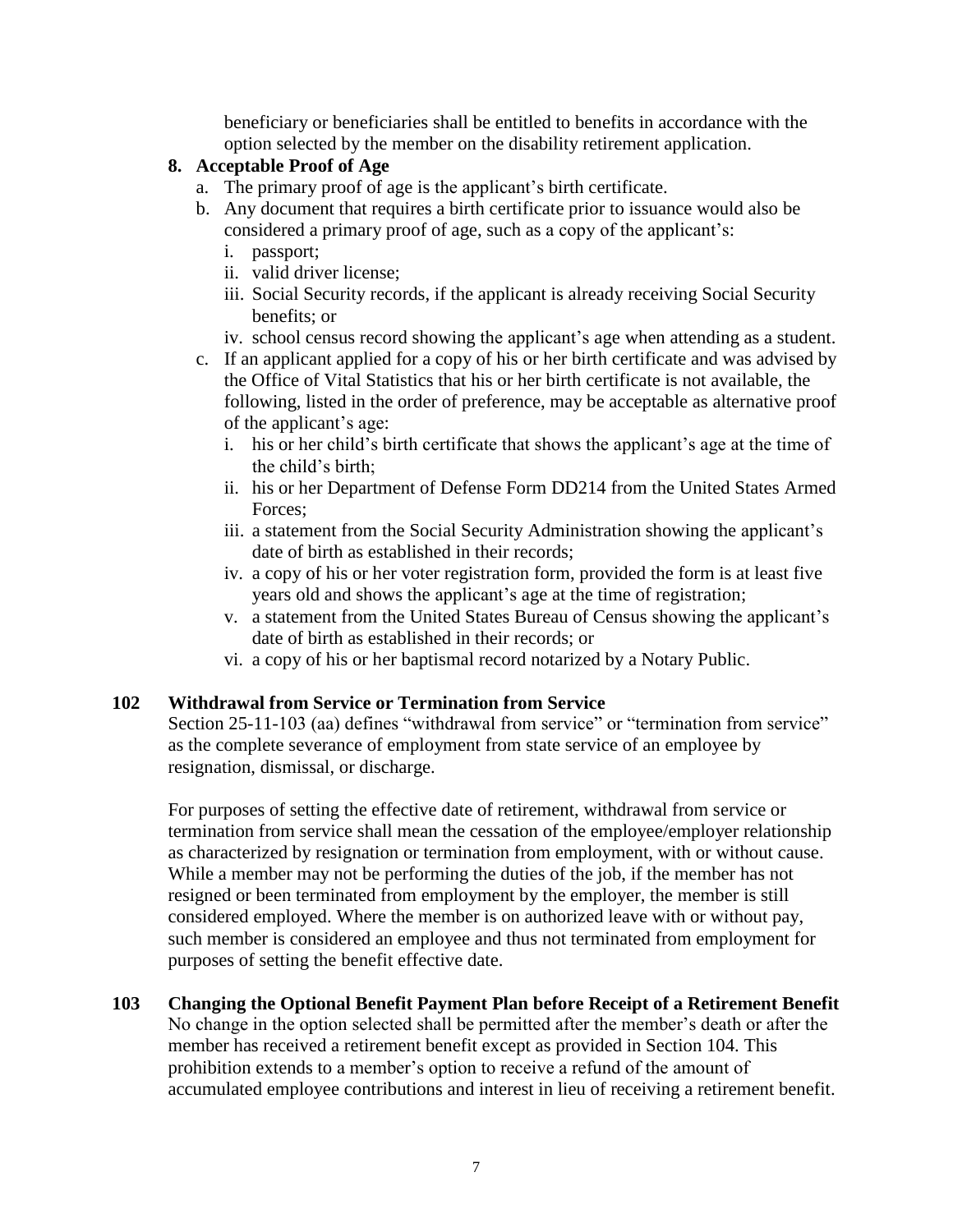beneficiary or beneficiaries shall be entitled to benefits in accordance with the option selected by the member on the disability retirement application.

## **8. Acceptable Proof of Age**

- a. The primary proof of age is the applicant's birth certificate.
- b. Any document that requires a birth certificate prior to issuance would also be considered a primary proof of age, such as a copy of the applicant's:
	- i. passport;
	- ii. valid driver license;
	- iii. Social Security records, if the applicant is already receiving Social Security benefits; or
	- iv. school census record showing the applicant's age when attending as a student.
- c. If an applicant applied for a copy of his or her birth certificate and was advised by the Office of Vital Statistics that his or her birth certificate is not available, the following, listed in the order of preference, may be acceptable as alternative proof of the applicant's age:
	- i. his or her child's birth certificate that shows the applicant's age at the time of the child's birth;
	- ii. his or her Department of Defense Form DD214 from the United States Armed Forces;
	- iii. a statement from the Social Security Administration showing the applicant's date of birth as established in their records;
	- iv. a copy of his or her voter registration form, provided the form is at least five years old and shows the applicant's age at the time of registration;
	- v. a statement from the United States Bureau of Census showing the applicant's date of birth as established in their records; or
	- vi. a copy of his or her baptismal record notarized by a Notary Public.

## **102 Withdrawal from Service or Termination from Service**

Section 25-11-103 (aa) defines "withdrawal from service" or "termination from service" as the complete severance of employment from state service of an employee by resignation, dismissal, or discharge.

For purposes of setting the effective date of retirement, withdrawal from service or termination from service shall mean the cessation of the employee/employer relationship as characterized by resignation or termination from employment, with or without cause. While a member may not be performing the duties of the job, if the member has not resigned or been terminated from employment by the employer, the member is still considered employed. Where the member is on authorized leave with or without pay, such member is considered an employee and thus not terminated from employment for purposes of setting the benefit effective date.

## **103 Changing the Optional Benefit Payment Plan before Receipt of a Retirement Benefit**

No change in the option selected shall be permitted after the member's death or after the member has received a retirement benefit except as provided in Section 104. This prohibition extends to a member's option to receive a refund of the amount of accumulated employee contributions and interest in lieu of receiving a retirement benefit.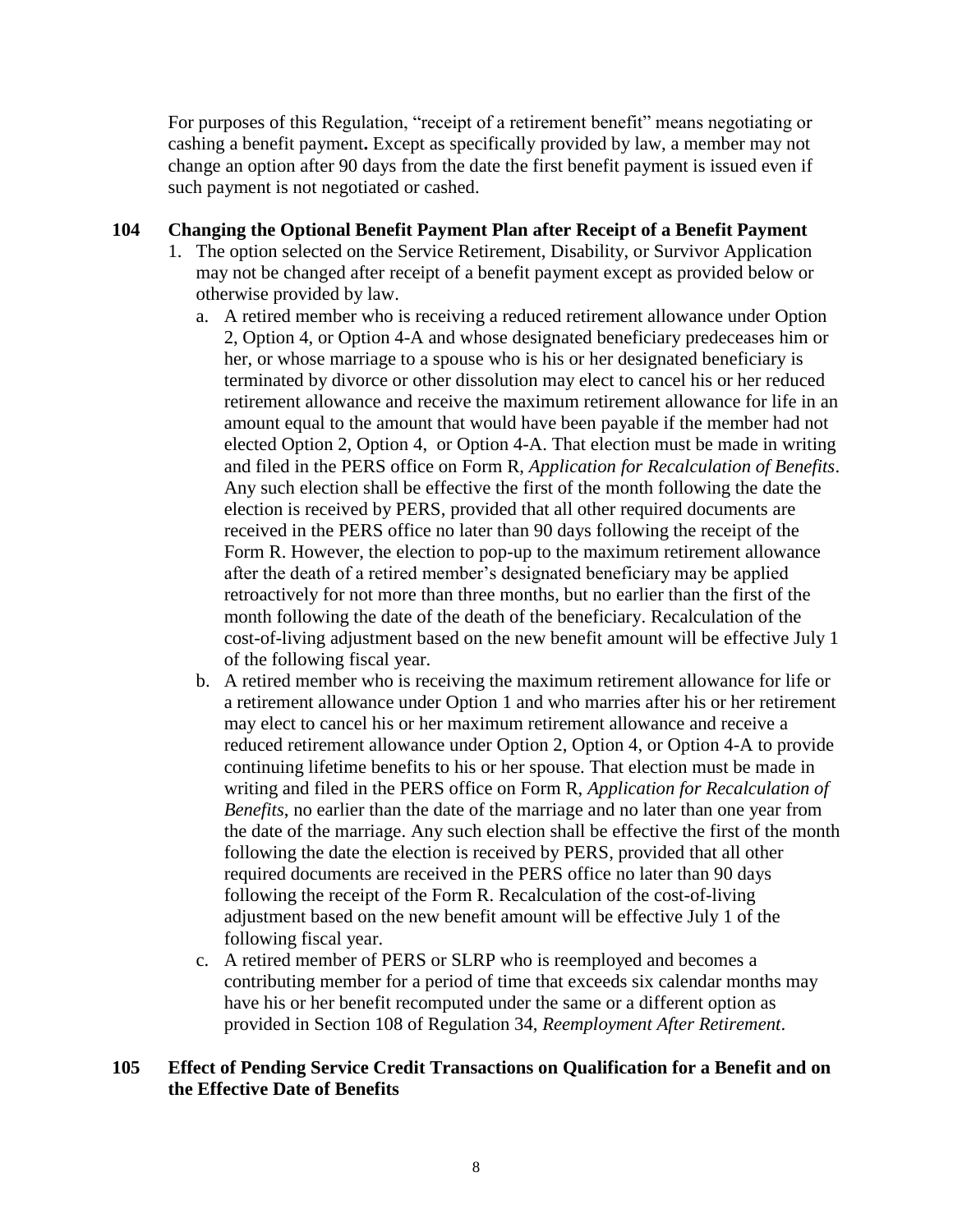For purposes of this Regulation, "receipt of a retirement benefit" means negotiating or cashing a benefit payment**.** Except as specifically provided by law, a member may not change an option after 90 days from the date the first benefit payment is issued even if such payment is not negotiated or cashed.

## **104 Changing the Optional Benefit Payment Plan after Receipt of a Benefit Payment**

- 1. The option selected on the Service Retirement, Disability, or Survivor Application may not be changed after receipt of a benefit payment except as provided below or otherwise provided by law.
	- a. A retired member who is receiving a reduced retirement allowance under Option 2, Option 4, or Option 4-A and whose designated beneficiary predeceases him or her, or whose marriage to a spouse who is his or her designated beneficiary is terminated by divorce or other dissolution may elect to cancel his or her reduced retirement allowance and receive the maximum retirement allowance for life in an amount equal to the amount that would have been payable if the member had not elected Option 2, Option 4, or Option 4-A. That election must be made in writing and filed in the PERS office on Form R, *Application for Recalculation of Benefits*. Any such election shall be effective the first of the month following the date the election is received by PERS, provided that all other required documents are received in the PERS office no later than 90 days following the receipt of the Form R. However, the election to pop-up to the maximum retirement allowance after the death of a retired member's designated beneficiary may be applied retroactively for not more than three months, but no earlier than the first of the month following the date of the death of the beneficiary. Recalculation of the cost-of-living adjustment based on the new benefit amount will be effective July 1 of the following fiscal year.
	- b. A retired member who is receiving the maximum retirement allowance for life or a retirement allowance under Option 1 and who marries after his or her retirement may elect to cancel his or her maximum retirement allowance and receive a reduced retirement allowance under Option 2, Option 4, or Option 4-A to provide continuing lifetime benefits to his or her spouse. That election must be made in writing and filed in the PERS office on Form R, *Application for Recalculation of Benefits*, no earlier than the date of the marriage and no later than one year from the date of the marriage. Any such election shall be effective the first of the month following the date the election is received by PERS, provided that all other required documents are received in the PERS office no later than 90 days following the receipt of the Form R. Recalculation of the cost-of-living adjustment based on the new benefit amount will be effective July 1 of the following fiscal year.
	- c. A retired member of PERS or SLRP who is reemployed and becomes a contributing member for a period of time that exceeds six calendar months may have his or her benefit recomputed under the same or a different option as provided in Section 108 of Regulation 34, *Reemployment After Retirement*.

## **105 Effect of Pending Service Credit Transactions on Qualification for a Benefit and on the Effective Date of Benefits**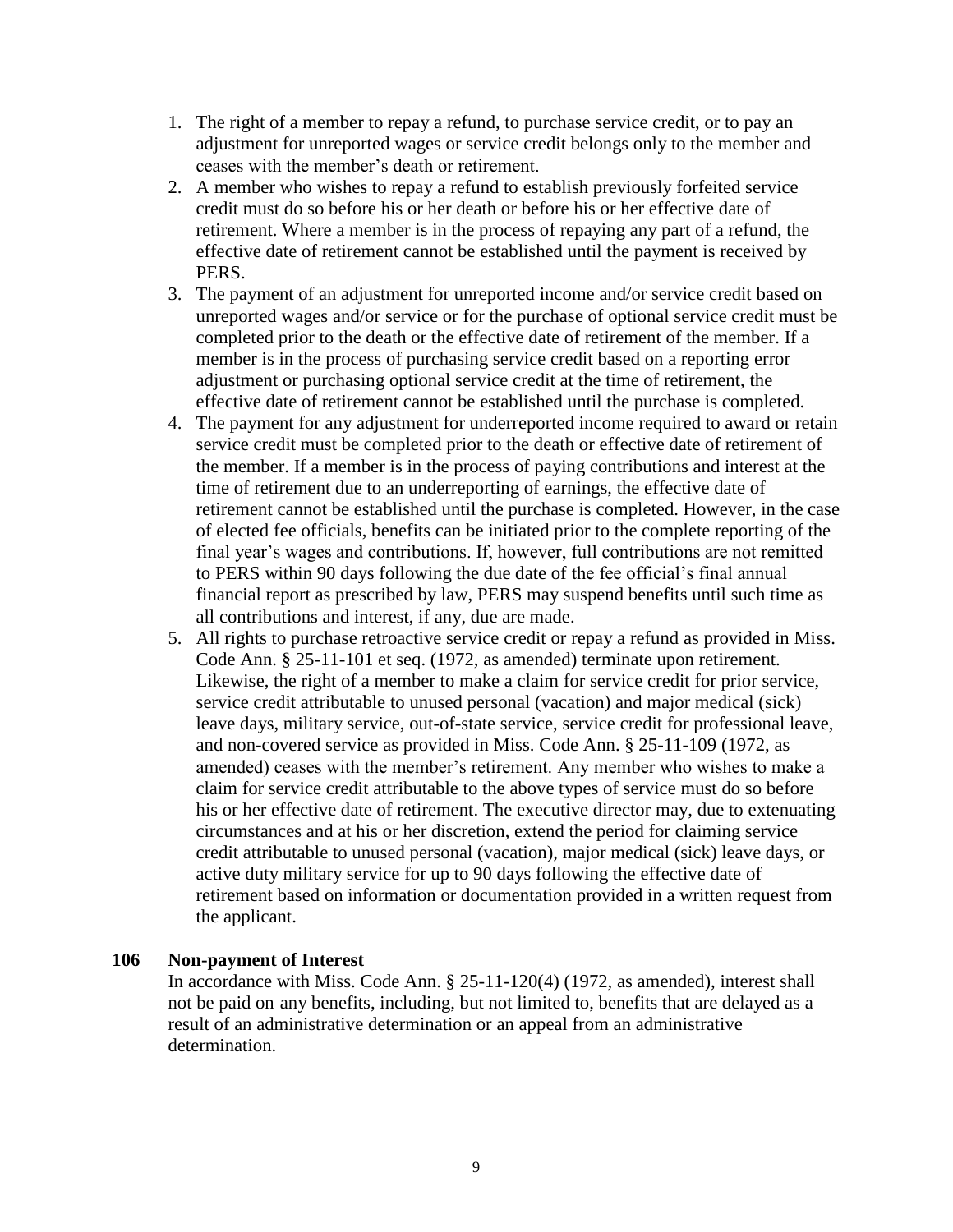- 1. The right of a member to repay a refund, to purchase service credit, or to pay an adjustment for unreported wages or service credit belongs only to the member and ceases with the member's death or retirement.
- 2. A member who wishes to repay a refund to establish previously forfeited service credit must do so before his or her death or before his or her effective date of retirement. Where a member is in the process of repaying any part of a refund, the effective date of retirement cannot be established until the payment is received by PERS.
- 3. The payment of an adjustment for unreported income and/or service credit based on unreported wages and/or service or for the purchase of optional service credit must be completed prior to the death or the effective date of retirement of the member. If a member is in the process of purchasing service credit based on a reporting error adjustment or purchasing optional service credit at the time of retirement, the effective date of retirement cannot be established until the purchase is completed.
- 4. The payment for any adjustment for underreported income required to award or retain service credit must be completed prior to the death or effective date of retirement of the member. If a member is in the process of paying contributions and interest at the time of retirement due to an underreporting of earnings, the effective date of retirement cannot be established until the purchase is completed. However, in the case of elected fee officials, benefits can be initiated prior to the complete reporting of the final year's wages and contributions. If, however, full contributions are not remitted to PERS within 90 days following the due date of the fee official's final annual financial report as prescribed by law, PERS may suspend benefits until such time as all contributions and interest, if any, due are made.
- 5. All rights to purchase retroactive service credit or repay a refund as provided in Miss. Code Ann. § 25-11-101 et seq. (1972, as amended) terminate upon retirement. Likewise, the right of a member to make a claim for service credit for prior service, service credit attributable to unused personal (vacation) and major medical (sick) leave days, military service, out-of-state service, service credit for professional leave, and non-covered service as provided in Miss. Code Ann. § 25-11-109 (1972, as amended) ceases with the member's retirement. Any member who wishes to make a claim for service credit attributable to the above types of service must do so before his or her effective date of retirement. The executive director may, due to extenuating circumstances and at his or her discretion, extend the period for claiming service credit attributable to unused personal (vacation), major medical (sick) leave days, or active duty military service for up to 90 days following the effective date of retirement based on information or documentation provided in a written request from the applicant.

#### **106 Non-payment of Interest**

In accordance with Miss. Code Ann. § 25-11-120(4) (1972, as amended), interest shall not be paid on any benefits, including, but not limited to, benefits that are delayed as a result of an administrative determination or an appeal from an administrative determination.